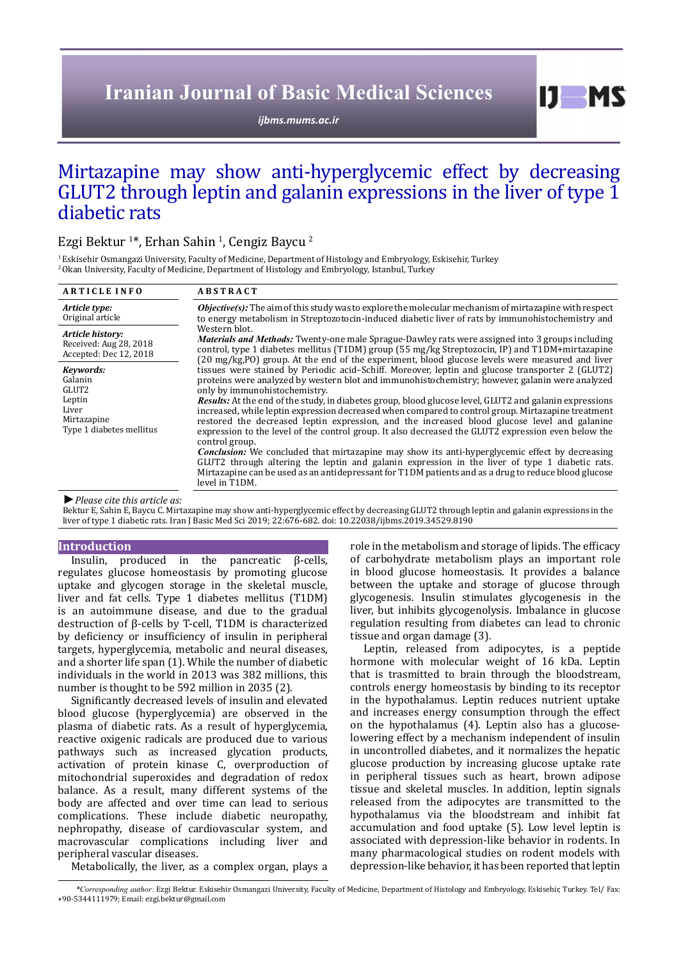# **Iranian Journal of Basic Medical Sciences**

*[ijbms.mums.ac.ir](http://ijbms.mums.ac.ir)*

# Mirtazapine may show anti-hyperglycemic effect by decreasing GLUT2 through leptin and galanin expressions in the liver of type 1 diabetic rats

# Ezgi Bektur <sup>1</sup> \*, Erhan Sahin <sup>1</sup> , Cengiz Baycu <sup>2</sup>

1 Eskisehir Osmangazi University, Faculty of Medicine, Department of Histology and Embryology, Eskisehir, Turkey <sup>2</sup> Okan University, Faculty of Medicine, Department of Histology and Embryology, Istanbul, Turkey

| <b>ARTICLE INFO</b>                                                                         | <b>ABSTRACT</b>                                                                                                                                                                                                                                                                                                                                                                                                                                                                                                                                                                                                                                                                                                                                                                                                                                                                                                                                                                                                                                                                                                                                                                                                                                                                                                                                                                                                                                                                                                                                                             |
|---------------------------------------------------------------------------------------------|-----------------------------------------------------------------------------------------------------------------------------------------------------------------------------------------------------------------------------------------------------------------------------------------------------------------------------------------------------------------------------------------------------------------------------------------------------------------------------------------------------------------------------------------------------------------------------------------------------------------------------------------------------------------------------------------------------------------------------------------------------------------------------------------------------------------------------------------------------------------------------------------------------------------------------------------------------------------------------------------------------------------------------------------------------------------------------------------------------------------------------------------------------------------------------------------------------------------------------------------------------------------------------------------------------------------------------------------------------------------------------------------------------------------------------------------------------------------------------------------------------------------------------------------------------------------------------|
| Article type:<br>Original article                                                           | <b>Objective(s):</b> The aim of this study was to explore the molecular mechanism of mirtazapine with respect<br>to energy metabolism in Streptozotocin-induced diabetic liver of rats by immunohistochemistry and<br>Western blot.<br>Materials and Methods: Twenty-one male Sprague-Dawley rats were assigned into 3 groups including<br>control, type 1 diabetes mellitus (T1DM) group (55 mg/kg Streptozocin, IP) and T1DM+mirtazapine<br>(20 mg/kg,PO) group. At the end of the experiment, blood glucose levels were measured and liver<br>tissues were stained by Periodic acid–Schiff. Moreover, leptin and glucose transporter 2 (GLUT2)<br>proteins were analyzed by western blot and immunohistochemistry; however, galanin were analyzed<br>only by immunohistochemistry.<br><b>Results:</b> At the end of the study, in diabetes group, blood glucose level, GLUT2 and galanin expressions<br>increased, while leptin expression decreased when compared to control group. Mirtazapine treatment<br>restored the decreased leptin expression, and the increased blood glucose level and galanine<br>expression to the level of the control group. It also decreased the GLUT2 expression even below the<br>control group.<br><b>Conclusion:</b> We concluded that mirtazapine may show its anti-hyperglycemic effect by decreasing<br>GLUT2 through altering the leptin and galanin expression in the liver of type 1 diabetic rats.<br>Mirtazapine can be used as an antidepressant for T1DM patients and as a drug to reduce blood glucose<br>level in T1DM. |
| Article history:<br>Received: Aug 28, 2018<br>Accepted: Dec 12, 2018                        |                                                                                                                                                                                                                                                                                                                                                                                                                                                                                                                                                                                                                                                                                                                                                                                                                                                                                                                                                                                                                                                                                                                                                                                                                                                                                                                                                                                                                                                                                                                                                                             |
| Keywords:<br>Galanin<br>GLUT2<br>Leptin<br>Liver<br>Mirtazapine<br>Type 1 diabetes mellitus |                                                                                                                                                                                                                                                                                                                                                                                                                                                                                                                                                                                                                                                                                                                                                                                                                                                                                                                                                                                                                                                                                                                                                                                                                                                                                                                                                                                                                                                                                                                                                                             |

Bektur E, Sahin E, Baycu C. Mirtazapine may show anti-hyperglycemic effect by decreasing GLUT2 through leptin and galanin expressions in the liver of type 1 diabetic rats. Iran J Basic Med Sci 2019; 22:676-682. doi: 10.22038/ijbms.2019.34529.8190

#### **Introduction**

Insulin, produced in the pancreatic β-cells, regulates glucose homeostasis by promoting glucose uptake and glycogen storage in the skeletal muscle, liver and fat cells. Type 1 diabetes mellitus (T1DM) is an autoimmune disease, and due to the gradual destruction of β-cells by T-cell, T1DM is characterized by deficiency or insufficiency of insulin in peripheral targets, hyperglycemia, metabolic and neural diseases, and a shorter life span (1). While the number of diabetic individuals in the world in 2013 was 382 millions, this number is thought to be 592 million in 2035 (2).

Significantly decreased levels of insulin and elevated blood glucose (hyperglycemia) are observed in the plasma of diabetic rats. As a result of hyperglycemia, reactive oxigenic radicals are produced due to various pathways such as increased glycation products, activation of protein kinase C, overproduction of mitochondrial superoxides and degradation of redox balance. As a result, many different systems of the body are affected and over time can lead to serious complications. These include diabetic neuropathy, nephropathy, disease of cardiovascular system, and macrovascular complications including liver and peripheral vascular diseases.

Metabolically, the liver, as a complex organ, plays a

role in the metabolism and storage of lipids. The efficacy of carbohydrate metabolism plays an important role in blood glucose homeostasis. It provides a balance between the uptake and storage of glucose through glycogenesis. Insulin stimulates glycogenesis in the liver, but inhibits glycogenolysis. Imbalance in glucose regulation resulting from diabetes can lead to chronic tissue and organ damage (3).

 $I$   $I$   $M$   $S$ 

Leptin, released from adipocytes, is a peptide hormone with molecular weight of 16 kDa. Leptin that is trasmitted to brain through the bloodstream, controls energy homeostasis by binding to its receptor in the hypothalamus. Leptin reduces nutrient uptake and increases energy consumption through the effect on the hypothalamus (4). Leptin also has a glucoselowering effect by a mechanism independent of insulin in uncontrolled diabetes, and it normalizes the hepatic glucose production by increasing glucose uptake rate in peripheral tissues such as heart, brown adipose tissue and skeletal muscles. In addition, leptin signals released from the adipocytes are transmitted to the hypothalamus via the bloodstream and inhibit fat accumulation and food uptake (5). Low level leptin is associated with depression-like behavior in rodents. In many pharmacological studies on rodent models with depression-like behavior, it has been reported that leptin

*\*Corresponding author:* Ezgi Bektur. Eskisehir Osmangazi University, Faculty of Medicine, Department of Histology and Embryology, Eskisehir, Turkey. Tel/ Fax: +90-5344111979; Email: ezgi.bektur@gmail.com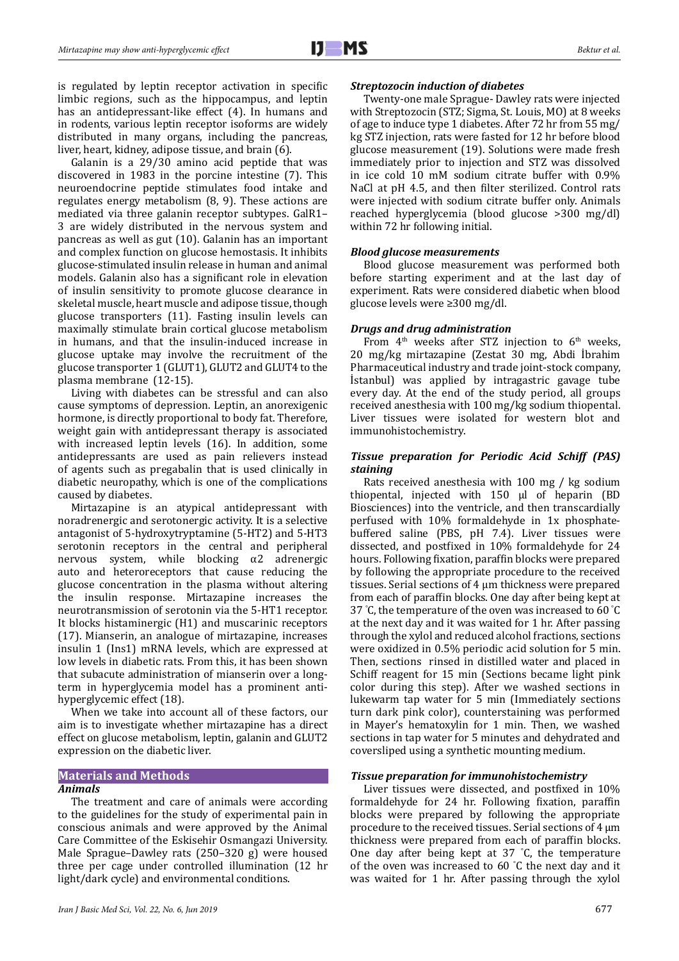is regulated by leptin receptor activation in specific limbic regions, such as the hippocampus, and leptin has an antidepressant-like effect (4). In humans and in rodents, various leptin receptor isoforms are widely distributed in many organs, including the pancreas, liver, heart, kidney, adipose tissue, and brain (6).

Galanin is a 29/30 amino acid peptide that was discovered in 1983 in the porcine intestine (7). This neuroendocrine peptide stimulates food intake and regulates energy metabolism (8, 9). These actions are mediated via three galanin receptor subtypes. GalR1– 3 are widely distributed in the nervous system and pancreas as well as gut (10). Galanin has an important and complex function on glucose hemostasis. It inhibits glucose-stimulated insulin release in human and animal models. Galanin also has a significant role in elevation of insulin sensitivity to promote glucose clearance in skeletal muscle, heart muscle and adipose tissue, though glucose transporters (11). Fasting insulin levels can maximally stimulate brain cortical glucose metabolism in humans, and that the insulin-induced increase in glucose uptake may involve the recruitment of the glucose transporter 1 (GLUT1), GLUT2 and GLUT4 to the plasma membrane (12-15).

Living with diabetes can be stressful and can also cause symptoms of depression. Leptin, an anorexigenic hormone, is directly proportional to body fat. Therefore, weight gain with antidepressant therapy is associated with increased leptin levels (16). In addition, some antidepressants are used as pain relievers instead of agents such as pregabalin that is used clinically in diabetic neuropathy, which is one of the complications caused by diabetes.

Mirtazapine is an atypical antidepressant with noradrenergic and serotonergic activity. It is a selective antagonist of 5-hydroxytryptamine (5-HT2) and 5-HT3 serotonin receptors in the central and peripheral nervous system, while blocking  $α2$  adrenergic auto and heteroreceptors that cause reducing the glucose concentration in the plasma without altering the insulin response. Mirtazapine increases the neurotransmission of serotonin via the 5-HT1 receptor. It blocks histaminergic (H1) and muscarinic receptors (17). Mianserin, an analogue of mirtazapine, increases insulin 1 (Ins1) mRNA levels, which are expressed at low levels in diabetic rats. From this, it has been shown that subacute administration of mianserin over a longterm in hyperglycemia model has a prominent antihyperglycemic effect (18).

When we take into account all of these factors, our aim is to investigate whether mirtazapine has a direct effect on glucose metabolism, leptin, galanin and GLUT2 expression on the diabetic liver.

#### **Materials and Methods**

#### *Animals*

The treatment and care of animals were according to the guidelines for the study of experimental pain in conscious animals and were approved by the Animal Care Committee of the Eskisehir Osmangazi University. Male Sprague–Dawley rats (250–320 g) were housed three per cage under controlled illumination (12 hr light/dark cycle) and environmental conditions.

#### *Streptozocin induction of diabetes*

Twenty-one male Sprague- Dawley rats were injected with Streptozocin (STZ; Sigma, St. Louis, MO) at 8 weeks of age to induce type 1 diabetes. After 72 hr from 55 mg/ kg STZ injection, rats were fasted for 12 hr before blood glucose measurement (19). Solutions were made fresh immediately prior to injection and STZ was dissolved in ice cold 10 mM sodium citrate buffer with 0.9% NaCl at pH 4.5, and then filter sterilized. Control rats were injected with sodium citrate buffer only. Animals reached hyperglycemia (blood glucose >300 mg/dl) within 72 hr following initial.

#### *Blood glucose measurements*

Blood glucose measurement was performed both before starting experiment and at the last day of experiment. Rats were considered diabetic when blood glucose levels were ≥300 mg/dl.

### *Drugs and drug administration*

From  $4<sup>th</sup>$  weeks after STZ injection to  $6<sup>th</sup>$  weeks, 20 mg/kg mirtazapine (Zestat 30 mg, Abdi İbrahim Pharmaceutical industry and trade joint-stock company, İstanbul) was applied by intragastric gavage tube every day. At the end of the study period, all groups received anesthesia with 100 mg/kg sodium thiopental. Liver tissues were isolated for western blot and immunohistochemistry.

# *Tissue preparation for Periodic Acid Schiff (PAS) staining*

Rats received anesthesia with 100 mg / kg sodium thiopental, injected with 150 μl of heparin (BD Biosciences) into the ventricle, and then transcardially perfused with 10% formaldehyde in 1x phosphatebuffered saline (PBS, pH 7.4). Liver tissues were dissected, and postfixed in 10% formaldehyde for 24 hours. Following fixation, paraffin blocks were prepared by following the appropriate procedure to the received tissues. Serial sections of 4 μm thickness were prepared from each of paraffin blocks. One day after being kept at 37 ° C, the temperature of the oven was increased to 60 ° C at the next day and it was waited for 1 hr. After passing through the xylol and reduced alcohol fractions, sections were oxidized in 0.5% periodic acid solution for 5 min. Then, sections rinsed in distilled water and placed in Schiff reagent for 15 min (Sections became light pink color during this step). After we washed sections in lukewarm tap water for 5 min (Immediately sections turn dark pink color), counterstaining was performed in Mayer's hematoxylin for 1 min. Then, we washed sections in tap water for 5 minutes and dehydrated and coversliped using a synthetic mounting medium.

#### *Tissue preparation for immunohistochemistry*

Liver tissues were dissected, and postfixed in 10% formaldehyde for 24 hr. Following fixation, paraffin blocks were prepared by following the appropriate procedure to the received tissues. Serial sections of 4 μm thickness were prepared from each of paraffin blocks. One day after being kept at 37 ° C, the temperature of the oven was increased to 60 ° C the next day and it was waited for 1 hr. After passing through the xylol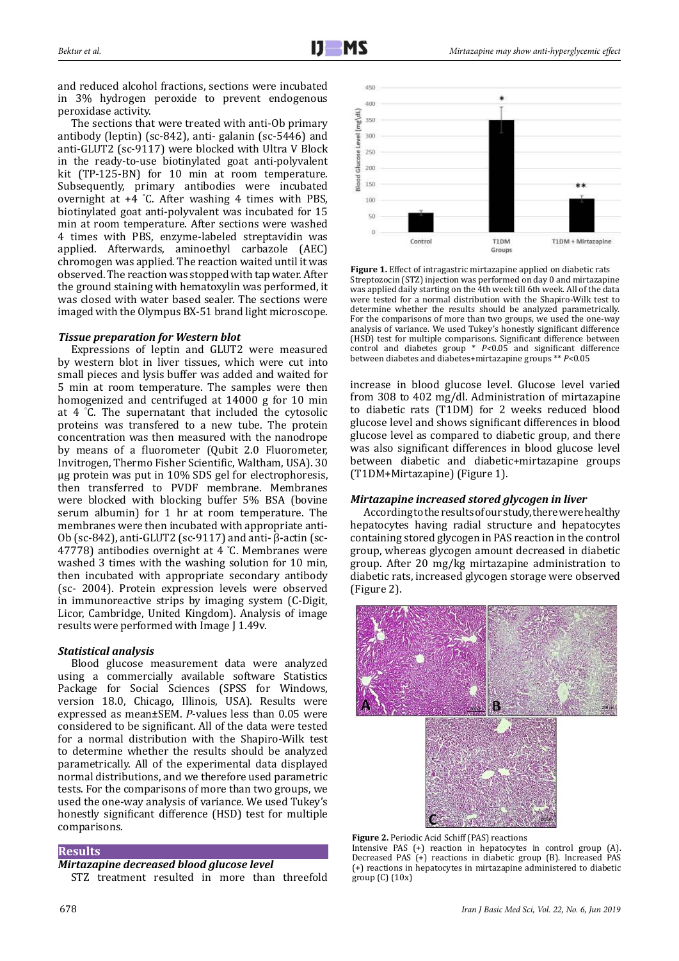and reduced alcohol fractions, sections were incubated in 3% hydrogen peroxide to prevent endogenous peroxidase activity.

The sections that were treated with anti-Ob primary antibody (leptin) (sc-842), anti- galanin (sc-5446) and anti-GLUT2 (sc-9117) were blocked with Ultra V Block in the ready-to-use biotinylated goat anti-polyvalent kit (TP-125-BN) for 10 min at room temperature. Subsequently, primary antibodies were incubated overnight at +4 ° C. After washing 4 times with PBS, biotinylated goat anti-polyvalent was incubated for 15 min at room temperature. After sections were washed 4 times with PBS, enzyme-labeled streptavidin was applied. Afterwards, aminoethyl carbazole (AEC) chromogen was applied. The reaction waited until it was observed. The reaction was stopped with tap water. After the ground staining with hematoxylin was performed, it was closed with water based sealer. The sections were imaged with the Olympus BX-51 brand light microscope.

# *Tissue preparation for Western blot*

Expressions of leptin and GLUT2 were measured by western blot in liver tissues, which were cut into small pieces and lysis buffer was added and waited for 5 min at room temperature. The samples were then homogenized and centrifuged at 14000 g for 10 min at 4 ° C. The supernatant that included the cytosolic proteins was transfered to a new tube. The protein concentration was then measured with the nanodrope by means of a fluorometer (Qubit 2.0 Fluorometer, Invitrogen, Thermo Fisher Scientific, Waltham, USA). 30 μg protein was put in 10% SDS gel for electrophoresis, then transferred to PVDF membrane. Membranes were blocked with blocking buffer 5% BSA (bovine serum albumin) for 1 hr at room temperature. The membranes were then incubated with appropriate anti-Ob (sc-842), anti-GLUT2 (sc-9117) and anti- β-actin (sc-47778) antibodies overnight at 4 ° C. Membranes were washed 3 times with the washing solution for 10 min, then incubated with appropriate secondary antibody (sc- 2004). Protein expression levels were observed in immunoreactive strips by imaging system (C-Digit, Licor, Cambridge, United Kingdom). Analysis of image results were performed with Image J 1.49v.

#### *Statistical analysis*

Blood glucose measurement data were analyzed using a commercially available software Statistics Package for Social Sciences (SPSS for Windows, version 18.0, Chicago, Illinois, USA). Results were expressed as mean±SEM. *P*-values less than 0.05 were considered to be significant. All of the data were tested for a normal distribution with the Shapiro-Wilk test to determine whether the results should be analyzed parametrically. All of the experimental data displayed normal distributions, and we therefore used parametric tests. For the comparisons of more than two groups, we used the one-way analysis of variance. We used Tukey's honestly significant difference (HSD) test for multiple comparisons.

### **Results**

# *Mirtazapine decreased blood glucose level*

STZ treatment resulted in more than threefold



**Figure 1.** Effect of intragastric mirtazapine applied on diabetic rats Streptozocin (STZ) injection was performed on day 0 and mirtazapine was applied daily starting on the 4th week till 6th week. All of the data were tested for a normal distribution with the Shapiro-Wilk test to determine whether the results should be analyzed parametrically. For the comparisons of more than two groups, we used the one-way analysis of variance. We used Tukey's honestly significant difference (HSD) test for multiple comparisons. Significant difference between control and diabetes group \* *P<*0.05 and significant difference between diabetes and diabetes+mirtazapine groups \*\* *P<*0.05

increase in blood glucose level. Glucose level varied from 308 to 402 mg/dl. Administration of mirtazapine to diabetic rats (T1DM) for 2 weeks reduced blood glucose level and shows significant differences in blood glucose level as compared to diabetic group, and there was also significant differences in blood glucose level between diabetic and diabetic+mirtazapine groups (T1DM+Mirtazapine) (Figure 1).

#### *Mirtazapine increased stored glycogen in liver*

According to the results of our study, there were healthy hepatocytes having radial structure and hepatocytes containing stored glycogen in PAS reaction in the control group, whereas glycogen amount decreased in diabetic group. After 20 mg/kg mirtazapine administration to diabetic rats, increased glycogen storage were observed (Figure 2).



**Figure 2.** Periodic Acid Schiff (PAS) reactions Intensive PAS (+) reaction in hepatocytes in control group (A). Decreased PAS (+) reactions in diabetic group (B). Increased PAS (+) reactions in hepatocytes in mirtazapine administered to diabetic group (C) (10x)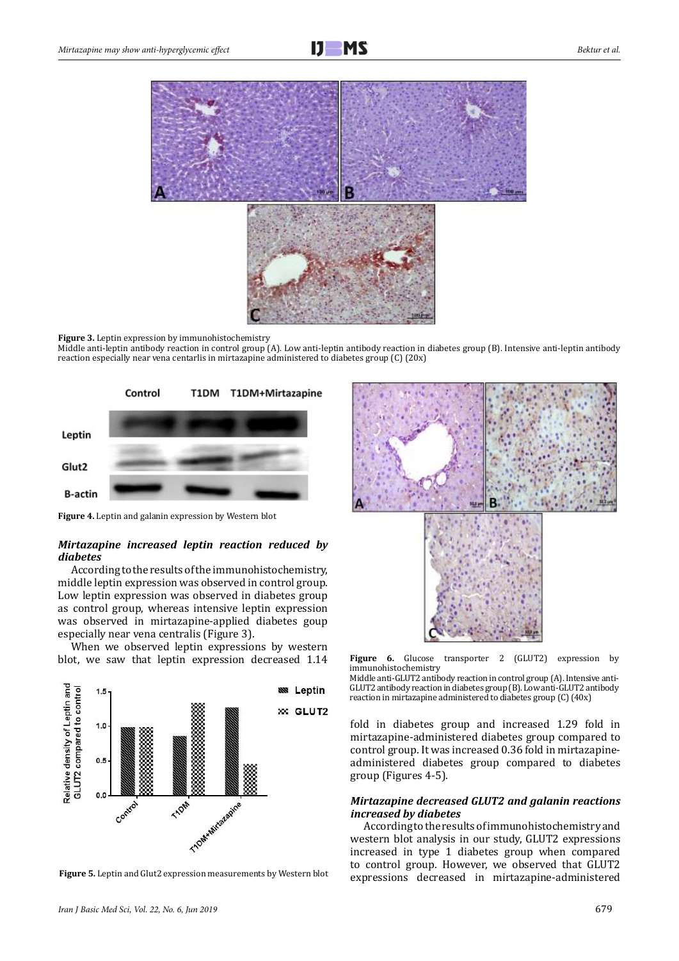



#### **Figure 3.** Leptin expression by immunohistochemistry

Middle anti-leptin antibody reaction in control group (A). Low anti-leptin antibody reaction in diabetes group (B). Intensive anti-leptin antibody reaction especially near vena centarlis in mirtazapine administered to diabetes group (C) (20x)



**Figure 4.** Leptin and galanin expression by Western blot

# *Mirtazapine increased leptin reaction reduced by diabetes*

According to the results of the immunohistochemistry, middle leptin expression was observed in control group. Low leptin expression was observed in diabetes group as control group, whereas intensive leptin expression was observed in mirtazapine-applied diabetes goup especially near vena centralis (Figure 3).

When we observed leptin expressions by western blot, we saw that leptin expression decreased 1.14





Figure 6. Glucose transporter 2 (GLUT2) expression by immunohistochemistry

Middle anti-GLUT2 antibody reaction in control group (A). Intensive anti-GLUT2 antibody reaction in diabetes group (B). Low anti-GLUT2 antibody reaction in mirtazapine administered to diabetes group (C) (40x)

fold in diabetes group and increased 1.29 fold in mirtazapine-administered diabetes group compared to control group. It was increased 0.36 fold in mirtazapineadministered diabetes group compared to diabetes group (Figures 4-5).

### *Mirtazapine decreased GLUT2 and galanin reactions increased by diabetes*

According to the results of immunohistochemistry and western blot analysis in our study, GLUT2 expressions increased in type 1 diabetes group when compared to control group. However, we observed that GLUT2 **Figure 5.** Leptin and Glut2 expression measurements by Western blot expressions decreased in mirtazapine-administered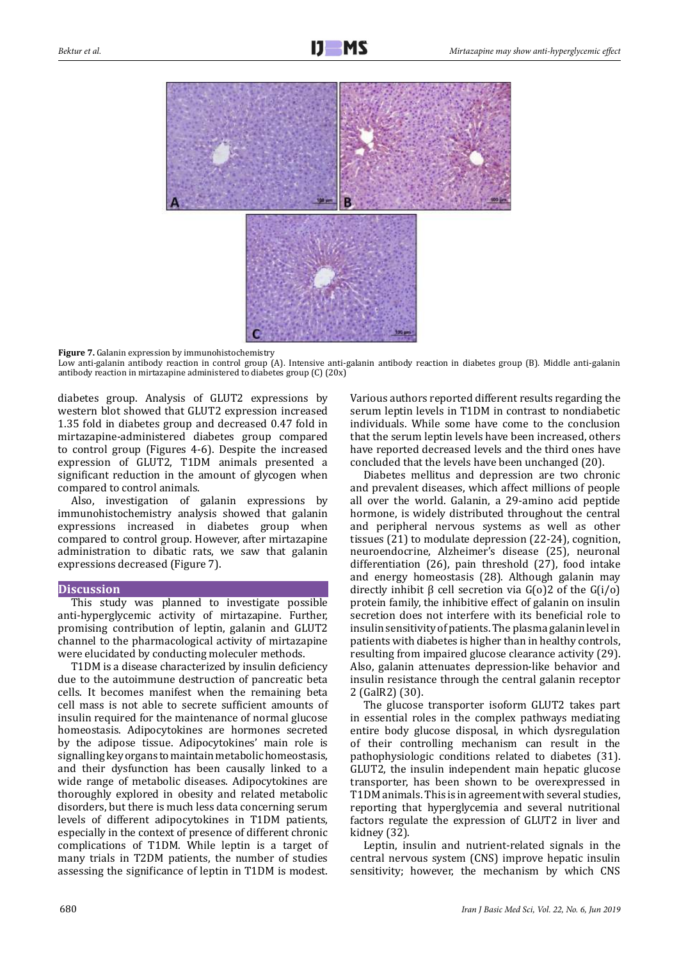

**Figure 7.** Galanin expression by immunohistochemistry

Low anti-galanin antibody reaction in control group (A). Intensive anti-galanin antibody reaction in diabetes group (B). Middle anti-galanin antibody reaction in mirtazapine administered to diabetes group (C) (20x)

diabetes group. Analysis of GLUT2 expressions by western blot showed that GLUT2 expression increased 1.35 fold in diabetes group and decreased 0.47 fold in mirtazapine-administered diabetes group compared to control group (Figures 4-6). Despite the increased expression of GLUT2, T1DM animals presented a significant reduction in the amount of glycogen when compared to control animals.

Also, investigation of galanin expressions by immunohistochemistry analysis showed that galanin expressions increased in diabetes group when compared to control group. However, after mirtazapine administration to dibatic rats, we saw that galanin expressions decreased (Figure 7).

#### **Discussion**

This study was planned to investigate possible anti-hyperglycemic activity of mirtazapine. Further, promising contribution of leptin, galanin and GLUT2 channel to the pharmacological activity of mirtazapine were elucidated by conducting moleculer methods.

T1DM is a disease characterized by insulin deficiency due to the autoimmune destruction of pancreatic beta cells. It becomes manifest when the remaining beta cell mass is not able to secrete sufficient amounts of insulin required for the maintenance of normal glucose homeostasis. Adipocytokines are hormones secreted by the adipose tissue. Adipocytokines' main role is signalling key organs to maintain metabolic homeostasis, and their dysfunction has been causally linked to a wide range of metabolic diseases. Adipocytokines are thoroughly explored in obesity and related metabolic disorders, but there is much less data concerning serum levels of different adipocytokines in T1DM patients, especially in the context of presence of different chronic complications of T1DM. While leptin is a target of many trials in T2DM patients, the number of studies assessing the significance of leptin in T1DM is modest.

Various authors reported different results regarding the serum leptin levels in T1DM in contrast to nondiabetic individuals. While some have come to the conclusion that the serum leptin levels have been increased, others have reported decreased levels and the third ones have concluded that the levels have been unchanged (20).

Diabetes mellitus and depression are two chronic and prevalent diseases, which affect millions of people all over the world. Galanin, a 29-amino acid peptide hormone, is widely distributed throughout the central and peripheral nervous systems as well as other tissues (21) to modulate depression (22-24), cognition, neuroendocrine, Alzheimer's disease (25), neuronal differentiation (26), pain threshold (27), food intake and energy homeostasis (28). Although galanin may 7 directly inhibit β cell secretion via G(o)2 of the G(i/o) protein family, the inhibitive effect of galanin on insulin secretion does not interfere with its beneficial role to insulin sensitivity of patients. The plasma galanin level in patients with diabetes is higher than in healthy controls, resulting from impaired glucose clearance activity (29). Also, galanin attenuates depression-like behavior and insulin resistance through the central galanin receptor 2 (GalR2) (30).

The glucose transporter isoform GLUT2 takes part in essential roles in the complex pathways mediating entire body glucose disposal, in which dysregulation of their controlling mechanism can result in the pathophysiologic conditions related to diabetes (31). GLUT2, the insulin independent main hepatic glucose transporter, has been shown to be overexpressed in T1DM animals. This is in agreement with several studies, reporting that hyperglycemia and several nutritional factors regulate the expression of GLUT2 in liver and kidney (32).

Leptin, insulin and nutrient-related signals in the central nervous system (CNS) improve hepatic insulin sensitivity; however, the mechanism by which CNS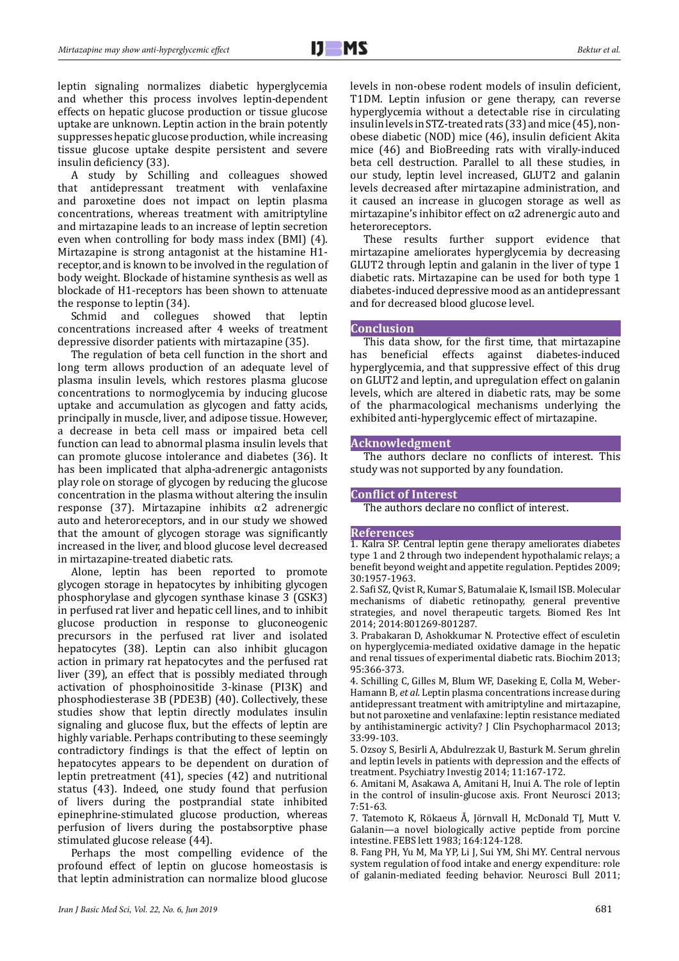leptin signaling normalizes diabetic hyperglycemia and whether this process involves leptin-dependent effects on hepatic glucose production or tissue glucose uptake are unknown. Leptin action in the brain potently suppresses hepatic glucose production, while increasing tissue glucose uptake despite persistent and severe insulin deficiency (33).

A study by Schilling and colleagues showed<br>that antidepressant treatment with venlafaxine antidepressant treatment with venlafaxine and paroxetine does not impact on leptin plasma concentrations, whereas treatment with amitriptyline and mirtazapine leads to an increase of leptin secretion even when controlling for body mass index (BMI) (4). Mirtazapine is strong antagonist at the histamine H1 receptor, and is known to be involved in the regulation of body weight. Blockade of histamine synthesis as well as blockade of H1-receptors has been shown to attenuate

the response to leptin (34).<br>Schmid and collegues showed that leptin concentrations increased after 4 weeks of treatment depressive disorder patients with mirtazapine (35).

The regulation of beta cell function in the short and long term allows production of an adequate level of plasma insulin levels, which restores plasma glucose concentrations to normoglycemia by inducing glucose uptake and accumulation as glycogen and fatty acids, principally in muscle, liver, and adipose tissue. However, a decrease in beta cell mass or impaired beta cell function can lead to abnormal plasma insulin levels that can promote glucose intolerance and diabetes (36). It has been implicated that alpha-adrenergic antagonists play role on storage of glycogen by reducing the glucose concentration in the plasma without altering the insulin response (37). Mirtazapine inhibits α2 adrenergic auto and heteroreceptors, and in our study we showed that the amount of glycogen storage was significantly increased in the liver, and blood glucose level decreased in mirtazapine-treated diabetic rats.

Alone, leptin has been reported to promote glycogen storage in hepatocytes by inhibiting glycogen phosphorylase and glycogen synthase kinase 3 (GSK3) in perfused rat liver and hepatic cell lines, and to inhibit glucose production in response to gluconeogenic precursors in the perfused rat liver and isolated hepatocytes (38). Leptin can also inhibit glucagon action in primary rat hepatocytes and the perfused rat liver (39), an effect that is possibly mediated through activation of phosphoinositide 3-kinase (PI3K) and phosphodiesterase 3B (PDE3B) (40). Collectively, these studies show that leptin directly modulates insulin signaling and glucose flux, but the effects of leptin are highly variable. Perhaps contributing to these seemingly contradictory findings is that the effect of leptin on hepatocytes appears to be dependent on duration of leptin pretreatment (41), species (42) and nutritional status (43). Indeed, one study found that perfusion of livers during the postprandial state inhibited epinephrine-stimulated glucose production, whereas perfusion of livers during the postabsorptive phase stimulated glucose release (44).

Perhaps the most compelling evidence of the profound effect of leptin on glucose homeostasis is that leptin administration can normalize blood glucose

levels in non-obese rodent models of insulin deficient, T1DM. Leptin infusion or gene therapy, can reverse hyperglycemia without a detectable rise in circulating insulin levels in STZ-treated rats (33) and mice (45), nonobese diabetic (NOD) mice (46), insulin deficient Akita mice (46) and BioBreeding rats with virally-induced beta cell destruction. Parallel to all these studies, in our study, leptin level increased, GLUT2 and galanin levels decreased after mirtazapine administration, and it caused an increase in glucogen storage as well as mirtazapine's inhibitor effect on  $\alpha$ 2 adrenergic auto and heteroreceptors.

These results further support evidence that mirtazapine ameliorates hyperglycemia by decreasing GLUT2 through leptin and galanin in the liver of type 1 diabetic rats. Mirtazapine can be used for both type 1 diabetes-induced depressive mood as an antidepressant and for decreased blood glucose level.

# **Conclusion**

This data show, for the first time, that mirtazapine<br>has beneficial effects against diabetes-induced beneficial effects against diabetes-induced hyperglycemia, and that suppressive effect of this drug on GLUT2 and leptin, and upregulation effect on galanin levels, which are altered in diabetic rats, may be some of the pharmacological mechanisms underlying the exhibited anti-hyperglycemic effect of mirtazapine.

# **Acknowledgment**

The authors declare no conflicts of interest. This study was not supported by any foundation.

# **Conflict of Interest**

The authors declare no conflict of interest.

#### **References**

1. Kalra SP. Central leptin gene therapy ameliorates diabetes type 1 and 2 through two independent hypothalamic relays; a benefit beyond weight and appetite regulation. Peptides 2009; 30:1957-1963.

2. Safi SZ, Qvist R, Kumar S, Batumalaie K, Ismail ISB. Molecular mechanisms of diabetic retinopathy, general preventive strategies, and novel therapeutic targets. Biomed Res Int 2014; 2014:801269-801287.

3. Prabakaran D, Ashokkumar N. Protective effect of esculetin on hyperglycemia-mediated oxidative damage in the hepatic and renal tissues of experimental diabetic rats. Biochim 2013; 95:366-373.

4. Schilling C, Gilles M, Blum WF, Daseking E, Colla M, Weber-Hamann B*, et al.* Leptin plasma concentrations increase during antidepressant treatment with amitriptyline and mirtazapine, but not paroxetine and venlafaxine: leptin resistance mediated by antihistaminergic activity? J Clin Psychopharmacol 2013; 33:99-103.

5. Ozsoy S, Besirli A, Abdulrezzak U, Basturk M. Serum ghrelin and leptin levels in patients with depression and the effects of treatment. Psychiatry Investig 2014; 11:167-172.

6. Amitani M, Asakawa A, Amitani H, Inui A. The role of leptin in the control of insulin-glucose axis. Front Neurosci 2013; 7:51-63.

7. Tatemoto K, Rökaeus Å, Jörnvall H, McDonald TJ, Mutt V. Galanin—a novel biologically active peptide from porcine intestine. FEBS lett 1983; 164:124-128.

8. Fang PH, Yu M, Ma YP, Li J, Sui YM, Shi MY. Central nervous system regulation of food intake and energy expenditure: role of galanin-mediated feeding behavior. Neurosci Bull 2011;